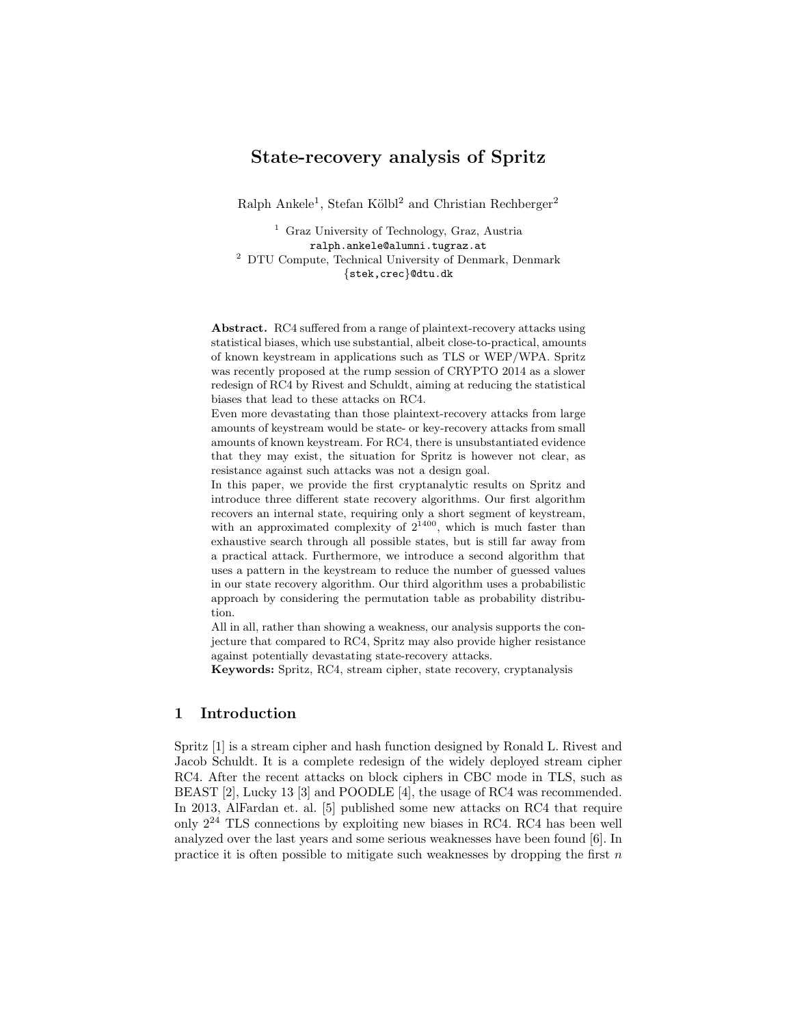# State-recovery analysis of Spritz

Ralph Ankele<sup>1</sup>, Stefan Kölbl<sup>2</sup> and Christian Rechberger<sup>2</sup>

<sup>1</sup> Graz University of Technology, Graz, Austria ralph.ankele@alumni.tugraz.at <sup>2</sup> DTU Compute, Technical University of Denmark, Denmark {stek,crec}@dtu.dk

Abstract. RC4 suffered from a range of plaintext-recovery attacks using statistical biases, which use substantial, albeit close-to-practical, amounts of known keystream in applications such as TLS or WEP/WPA. Spritz was recently proposed at the rump session of CRYPTO 2014 as a slower redesign of RC4 by Rivest and Schuldt, aiming at reducing the statistical biases that lead to these attacks on RC4.

Even more devastating than those plaintext-recovery attacks from large amounts of keystream would be state- or key-recovery attacks from small amounts of known keystream. For RC4, there is unsubstantiated evidence that they may exist, the situation for Spritz is however not clear, as resistance against such attacks was not a design goal.

In this paper, we provide the first cryptanalytic results on Spritz and introduce three different state recovery algorithms. Our first algorithm recovers an internal state, requiring only a short segment of keystream, with an approximated complexity of  $2^{1400}$ , which is much faster than exhaustive search through all possible states, but is still far away from a practical attack. Furthermore, we introduce a second algorithm that uses a pattern in the keystream to reduce the number of guessed values in our state recovery algorithm. Our third algorithm uses a probabilistic approach by considering the permutation table as probability distribution.

All in all, rather than showing a weakness, our analysis supports the conjecture that compared to RC4, Spritz may also provide higher resistance against potentially devastating state-recovery attacks.

Keywords: Spritz, RC4, stream cipher, state recovery, cryptanalysis

## 1 Introduction

Spritz [1] is a stream cipher and hash function designed by Ronald L. Rivest and Jacob Schuldt. It is a complete redesign of the widely deployed stream cipher RC4. After the recent attacks on block ciphers in CBC mode in TLS, such as BEAST [2], Lucky 13 [3] and POODLE [4], the usage of RC4 was recommended. In 2013, AlFardan et. al. [5] published some new attacks on RC4 that require only  $2^{24}$  TLS connections by exploiting new biases in RC4. RC4 has been well analyzed over the last years and some serious weaknesses have been found [6]. In practice it is often possible to mitigate such weaknesses by dropping the first  $n$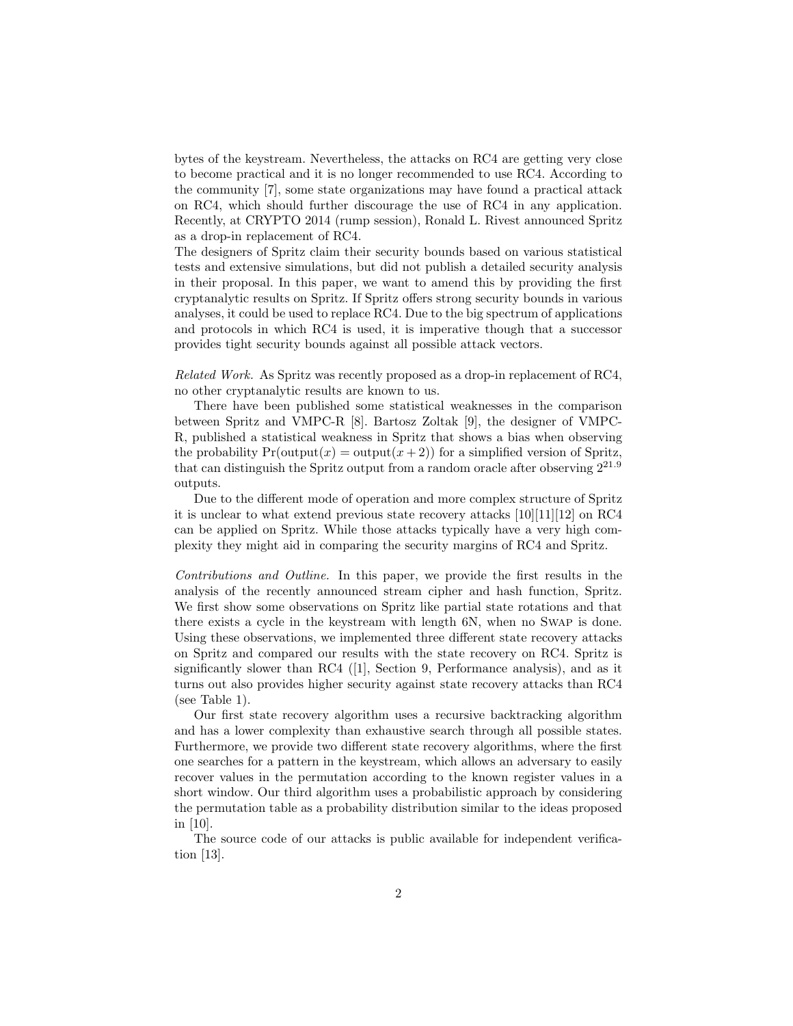bytes of the keystream. Nevertheless, the attacks on RC4 are getting very close to become practical and it is no longer recommended to use RC4. According to the community [7], some state organizations may have found a practical attack on RC4, which should further discourage the use of RC4 in any application. Recently, at CRYPTO 2014 (rump session), Ronald L. Rivest announced Spritz as a drop-in replacement of RC4.

The designers of Spritz claim their security bounds based on various statistical tests and extensive simulations, but did not publish a detailed security analysis in their proposal. In this paper, we want to amend this by providing the first cryptanalytic results on Spritz. If Spritz offers strong security bounds in various analyses, it could be used to replace RC4. Due to the big spectrum of applications and protocols in which RC4 is used, it is imperative though that a successor provides tight security bounds against all possible attack vectors.

Related Work. As Spritz was recently proposed as a drop-in replacement of RC4, no other cryptanalytic results are known to us.

There have been published some statistical weaknesses in the comparison between Spritz and VMPC-R [8]. Bartosz Zoltak [9], the designer of VMPC-R, published a statistical weakness in Spritz that shows a bias when observing the probability  $Pr(\text{output}(x) = \text{output}(x + 2))$  for a simplified version of Spritz, that can distinguish the Spritz output from a random oracle after observing  $2^{21.9}$ outputs.

Due to the different mode of operation and more complex structure of Spritz it is unclear to what extend previous state recovery attacks [10][11][12] on RC4 can be applied on Spritz. While those attacks typically have a very high complexity they might aid in comparing the security margins of RC4 and Spritz.

Contributions and Outline. In this paper, we provide the first results in the analysis of the recently announced stream cipher and hash function, Spritz. We first show some observations on Spritz like partial state rotations and that there exists a cycle in the keystream with length 6N, when no Swap is done. Using these observations, we implemented three different state recovery attacks on Spritz and compared our results with the state recovery on RC4. Spritz is significantly slower than RC4 ([1], Section 9, Performance analysis), and as it turns out also provides higher security against state recovery attacks than RC4 (see Table 1).

Our first state recovery algorithm uses a recursive backtracking algorithm and has a lower complexity than exhaustive search through all possible states. Furthermore, we provide two different state recovery algorithms, where the first one searches for a pattern in the keystream, which allows an adversary to easily recover values in the permutation according to the known register values in a short window. Our third algorithm uses a probabilistic approach by considering the permutation table as a probability distribution similar to the ideas proposed in [10].

The source code of our attacks is public available for independent verification [13].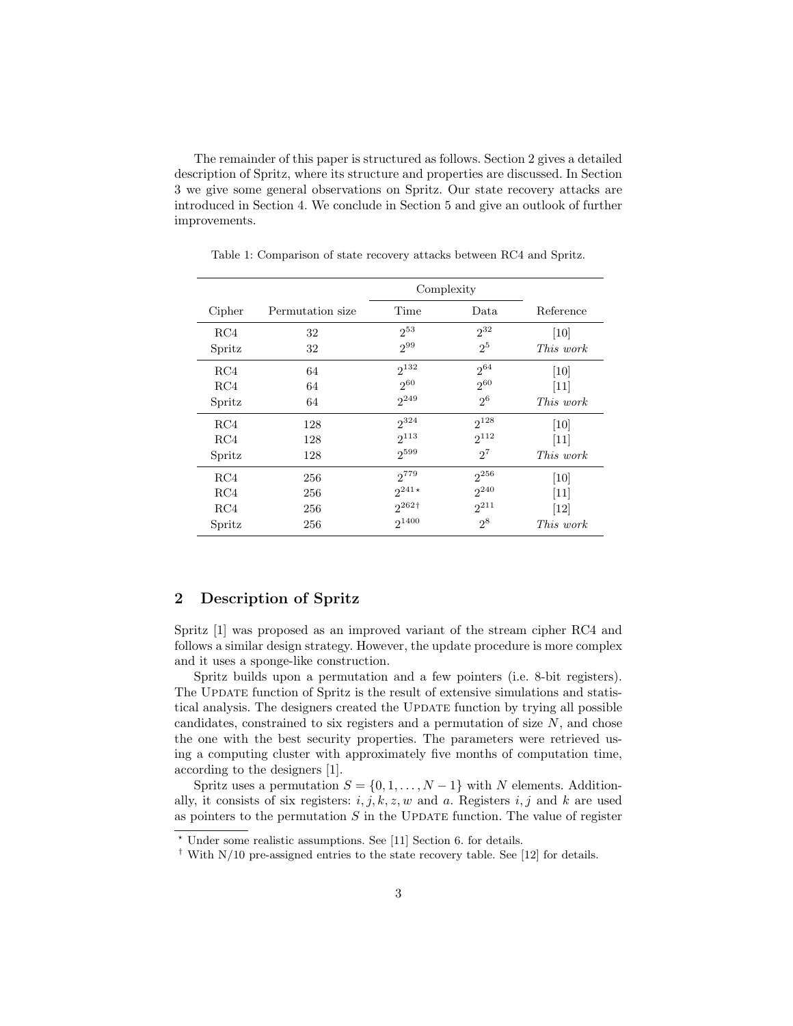The remainder of this paper is structured as follows. Section 2 gives a detailed description of Spritz, where its structure and properties are discussed. In Section 3 we give some general observations on Spritz. Our state recovery attacks are introduced in Section 4. We conclude in Section 5 and give an outlook of further improvements.

|        |                  | Complexity   |                |                  |
|--------|------------------|--------------|----------------|------------------|
| Cipher | Permutation size | Time         | Data           | Reference        |
| RC4    | 32               | $2^{53}$     | $2^{32}$       | $[10]$           |
| Spritz | 32               | $2^{99}$     | $2^{5}$        | <i>This work</i> |
| RC4    | 64               | $2^{132}$    | $2^{64}$       | [10]             |
| RC4    | 64               | $2^{60}$     | $2^{60}$       | $[11]$           |
| Spritz | 64               | $2^{249}$    | 2 <sup>6</sup> | This work        |
| RC4    | 128              | $2^{324}$    | $2^{128}$      | [10]             |
| RC4    | 128              | $2^{113}$    | $2^{112}$      | $[11]$           |
| Spritz | 128              | $2^{599}$    | $2^7$          | This work        |
| RC4    | 256              | 2779         | $2^{256}$      | $[10]$           |
| RC4    | 256              | $2^{241*}$   | $2^{240}$      | $[11]$           |
| RC4    | 256              | $262\dagger$ | $2^{211}$      | $[12]$           |
| Spritz | 256              | $2^{1400}$   | $2^8$          | <i>This work</i> |

Table 1: Comparison of state recovery attacks between RC4 and Spritz.

# 2 Description of Spritz

Spritz [1] was proposed as an improved variant of the stream cipher RC4 and follows a similar design strategy. However, the update procedure is more complex and it uses a sponge-like construction.

Spritz builds upon a permutation and a few pointers (i.e. 8-bit registers). The UPDATE function of Spritz is the result of extensive simulations and statistical analysis. The designers created the UPDATE function by trying all possible candidates, constrained to six registers and a permutation of size N, and chose the one with the best security properties. The parameters were retrieved using a computing cluster with approximately five months of computation time, according to the designers [1].

Spritz uses a permutation  $S = \{0, 1, \ldots, N-1\}$  with N elements. Additionally, it consists of six registers:  $i, j, k, z, w$  and a. Registers  $i, j$  and k are used as pointers to the permutation  $S$  in the UPDATE function. The value of register

<sup>?</sup> Under some realistic assumptions. See [11] Section 6. for details.

<sup>†</sup> With N/10 pre-assigned entries to the state recovery table. See [12] for details.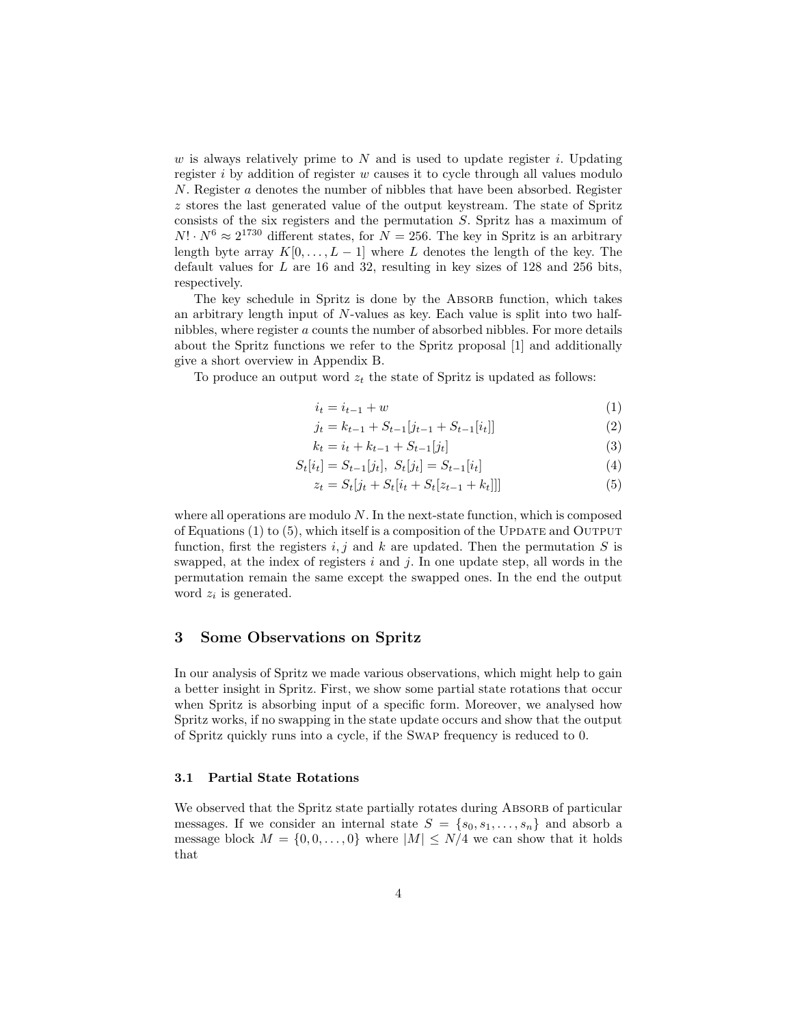w is always relatively prime to  $N$  and is used to update register i. Updating register  $i$  by addition of register  $w$  causes it to cycle through all values modulo N. Register a denotes the number of nibbles that have been absorbed. Register z stores the last generated value of the output keystream. The state of Spritz consists of the six registers and the permutation S. Spritz has a maximum of  $N! \cdot N^6 \approx 2^{1730}$  different states, for  $N = 256$ . The key in Spritz is an arbitrary length byte array  $K[0, \ldots, L-1]$  where L denotes the length of the key. The default values for  $L$  are 16 and 32, resulting in key sizes of 128 and 256 bits, respectively.

The key schedule in Spritz is done by the ABSORB function, which takes an arbitrary length input of N-values as key. Each value is split into two halfnibbles, where register a counts the number of absorbed nibbles. For more details about the Spritz functions we refer to the Spritz proposal [1] and additionally give a short overview in Appendix B.

To produce an output word  $z_t$  the state of Spritz is updated as follows:

$$
i_t = i_{t-1} + w \tag{1}
$$

$$
j_t = k_{t-1} + S_{t-1}[j_{t-1} + S_{t-1}[i_t]]
$$
\n
$$
k_t = i_t + k_{t-1} + S_{t-1}[i_t]
$$
\n(3)

$$
k_t = i_t + k_{t-1} + S_{t-1}[j_t]
$$
\n(3)

$$
S_t[i_t] = S_{t-1}[j_t], \ S_t[j_t] = S_{t-1}[i_t]
$$
\n<sup>(4)</sup>

$$
z_t = S_t[j_t + S_t[i_t + S_t[z_{t-1} + k_t]]]
$$
\n(5)

where all operations are modulo N. In the next-state function, which is composed of Equations  $(1)$  to  $(5)$ , which itself is a composition of the UPDATE and OUTPUT function, first the registers  $i, j$  and k are updated. Then the permutation S is swapped, at the index of registers  $i$  and  $j$ . In one update step, all words in the permutation remain the same except the swapped ones. In the end the output word  $z_i$  is generated.

### 3 Some Observations on Spritz

In our analysis of Spritz we made various observations, which might help to gain a better insight in Spritz. First, we show some partial state rotations that occur when Spritz is absorbing input of a specific form. Moreover, we analysed how Spritz works, if no swapping in the state update occurs and show that the output of Spritz quickly runs into a cycle, if the Swap frequency is reduced to 0.

#### 3.1 Partial State Rotations

We observed that the Spritz state partially rotates during ABSORB of particular messages. If we consider an internal state  $S = \{s_0, s_1, \ldots, s_n\}$  and absorb a message block  $M = \{0, 0, ..., 0\}$  where  $|M| \le N/4$  we can show that it holds that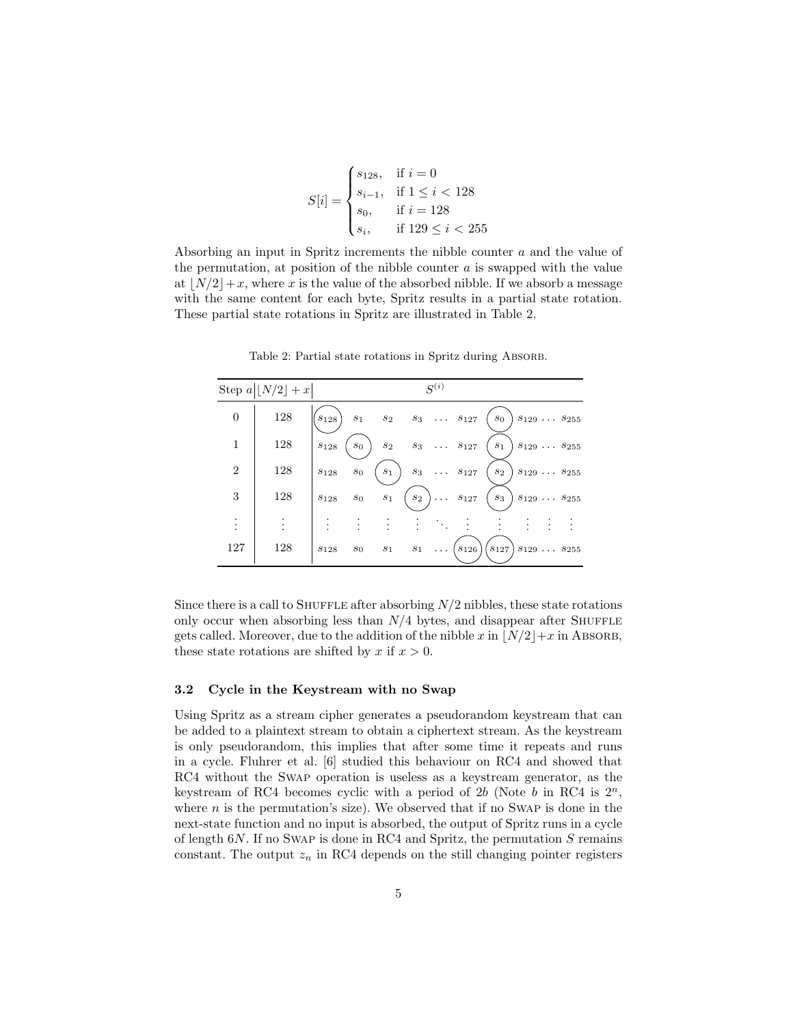$$
S[i] = \begin{cases} s_{128}, & \text{if } i = 0\\ s_{i-1}, & \text{if } 1 \le i < 128\\ s_0, & \text{if } i = 128\\ s_i, & \text{if } 129 \le i < 255 \end{cases}
$$

Absorbing an input in Spritz increments the nibble counter a and the value of the permutation, at position of the nibble counter  $a$  is swapped with the value at  $|N/2|+x$ , where x is the value of the absorbed nibble. If we absorb a message with the same content for each byte, Spritz results in a partial state rotation. These partial state rotations in Spritz are illustrated in Table 2.

|                     | Step $a\lfloor N/2\rfloor + x$ |                        |                  |                  |       | $S^{(i)}$ |                              |                                        |                             |  |
|---------------------|--------------------------------|------------------------|------------------|------------------|-------|-----------|------------------------------|----------------------------------------|-----------------------------|--|
| $\boldsymbol{0}$    | 128                            | $s_{128}$              | $s_1$            |                  |       |           | $s_2$ $s_3$ $s_{127}$        | $s_0$                                  | $s_{129} \ldots \, s_{255}$ |  |
| $\mathbf{1}$        | 128                            | $s_{128}$              | $s_0$            | $\mathfrak{s}_2$ |       |           | $s_3 \ldots s_{127}$         | $\sqrt{s_{1}}$                         | $s_{129} \ldots \, s_{255}$ |  |
| $\overline{2}$      | 128                            | $s_{128}$              | $\mathfrak{s}_0$ | $s_1$            | $s_3$ |           | $\cdots$ $s_{127}$           | $\mathfrak{s}_2$                       | $s_{129} \ldots s_{255}$    |  |
| 3                   | 128                            | $\boldsymbol{s}_{128}$ | $s_0$            | $\sqrt{s_{1}}$   | $s_2$ |           | $\big) \ldots \quad s_{127}$ | $s_3$                                  | $s_{129} \ldots s_{255}$    |  |
| ٠<br>$\ddot{\cdot}$ |                                |                        |                  |                  |       |           |                              |                                        |                             |  |
| 127                 | 128                            | $s_{128}$              | $s_0$            | $s_1$            | $s_1$ | $\cdots$  | $(s_{126})$                  | $s_{127}$ $s_{129}$ $\ldots$ $s_{255}$ |                             |  |

Table 2: Partial state rotations in Spritz during ABSORB.

Since there is a call to SHUFFLE after absorbing  $N/2$  nibbles, these state rotations only occur when absorbing less than  $N/4$  bytes, and disappear after SHUFFLE gets called. Moreover, due to the addition of the nibble x in  $\lfloor N/2\rfloor + x$  in ABSORB, these state rotations are shifted by x if  $x > 0$ .

#### 3.2 Cycle in the Keystream with no Swap

Using Spritz as a stream cipher generates a pseudorandom keystream that can be added to a plaintext stream to obtain a ciphertext stream. As the keystream is only pseudorandom, this implies that after some time it repeats and runs in a cycle. Fluhrer et al. [6] studied this behaviour on RC4 and showed that RC4 without the Swap operation is useless as a keystream generator, as the keystream of RC4 becomes cyclic with a period of 2b (Note b in RC4 is  $2^n$ , where  $n$  is the permutation's size). We observed that if no SWAP is done in the next-state function and no input is absorbed, the output of Spritz runs in a cycle of length  $6N$ . If no SWAP is done in RC4 and Spritz, the permutation  $S$  remains constant. The output  $z_n$  in RC4 depends on the still changing pointer registers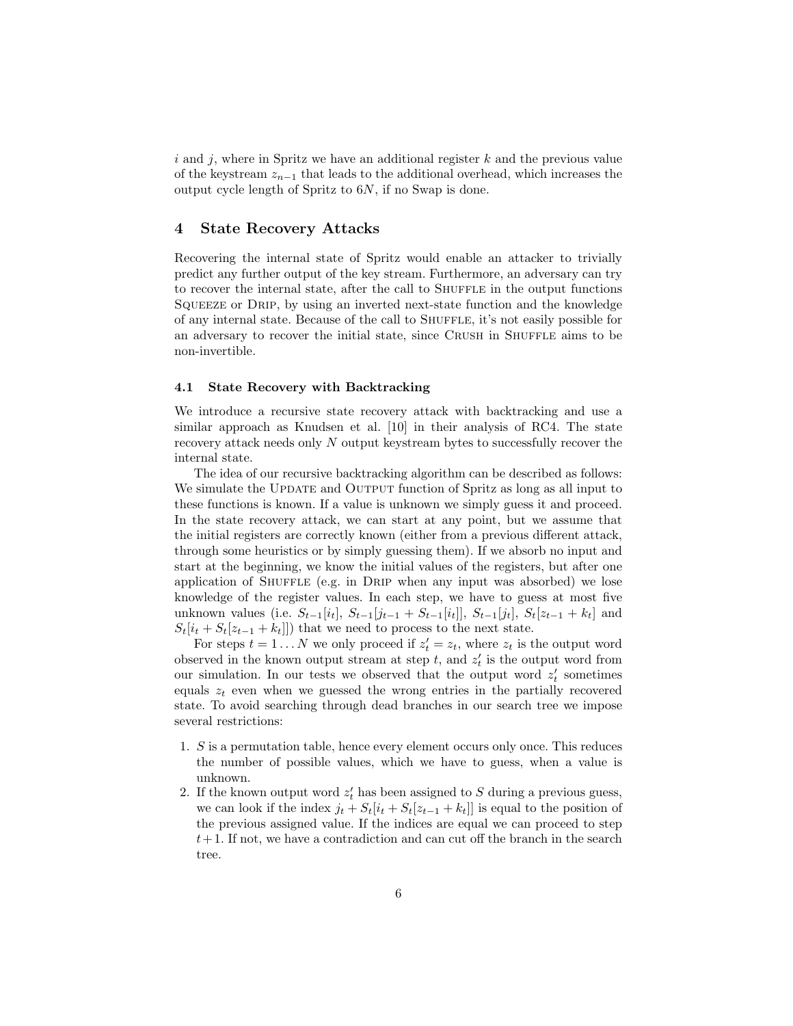i and j, where in Spritz we have an additional register  $k$  and the previous value of the keystream  $z_{n-1}$  that leads to the additional overhead, which increases the output cycle length of Spritz to 6N, if no Swap is done.

### 4 State Recovery Attacks

Recovering the internal state of Spritz would enable an attacker to trivially predict any further output of the key stream. Furthermore, an adversary can try to recover the internal state, after the call to SHUFFLE in the output functions SQUEEZE or DRIP, by using an inverted next-state function and the knowledge of any internal state. Because of the call to SHUFFLE, it's not easily possible for an adversary to recover the initial state, since CRUSH in SHUFFLE aims to be non-invertible.

#### 4.1 State Recovery with Backtracking

We introduce a recursive state recovery attack with backtracking and use a similar approach as Knudsen et al. [10] in their analysis of RC4. The state recovery attack needs only N output keystream bytes to successfully recover the internal state.

The idea of our recursive backtracking algorithm can be described as follows: We simulate the UPDATE and OUTPUT function of Spritz as long as all input to these functions is known. If a value is unknown we simply guess it and proceed. In the state recovery attack, we can start at any point, but we assume that the initial registers are correctly known (either from a previous different attack, through some heuristics or by simply guessing them). If we absorb no input and start at the beginning, we know the initial values of the registers, but after one application of SHUFFLE (e.g. in DRIP when any input was absorbed) we lose knowledge of the register values. In each step, we have to guess at most five unknown values (i.e.  $S_{t-1}[i_t], S_{t-1}[j_{t-1} + S_{t-1}[i_t]], S_{t-1}[j_t], S_t[z_{t-1} + k_t]$  and  $S_t[i_t + S_t[z_{t-1} + k_t]]$  that we need to process to the next state.

For steps  $t = 1...N$  we only proceed if  $z'_t = z_t$ , where  $z_t$  is the output word observed in the known output stream at step  $t$ , and  $z'$  is the output word from our simulation. In our tests we observed that the output word  $z'_{t}$  sometimes equals  $z_t$  even when we guessed the wrong entries in the partially recovered state. To avoid searching through dead branches in our search tree we impose several restrictions:

- 1. S is a permutation table, hence every element occurs only once. This reduces the number of possible values, which we have to guess, when a value is unknown.
- 2. If the known output word  $z'_{t}$  has been assigned to S during a previous guess, we can look if the index  $j_t + S_t[i_t + S_t[z_{t-1} + k_t]]$  is equal to the position of the previous assigned value. If the indices are equal we can proceed to step  $t+1$ . If not, we have a contradiction and can cut off the branch in the search tree.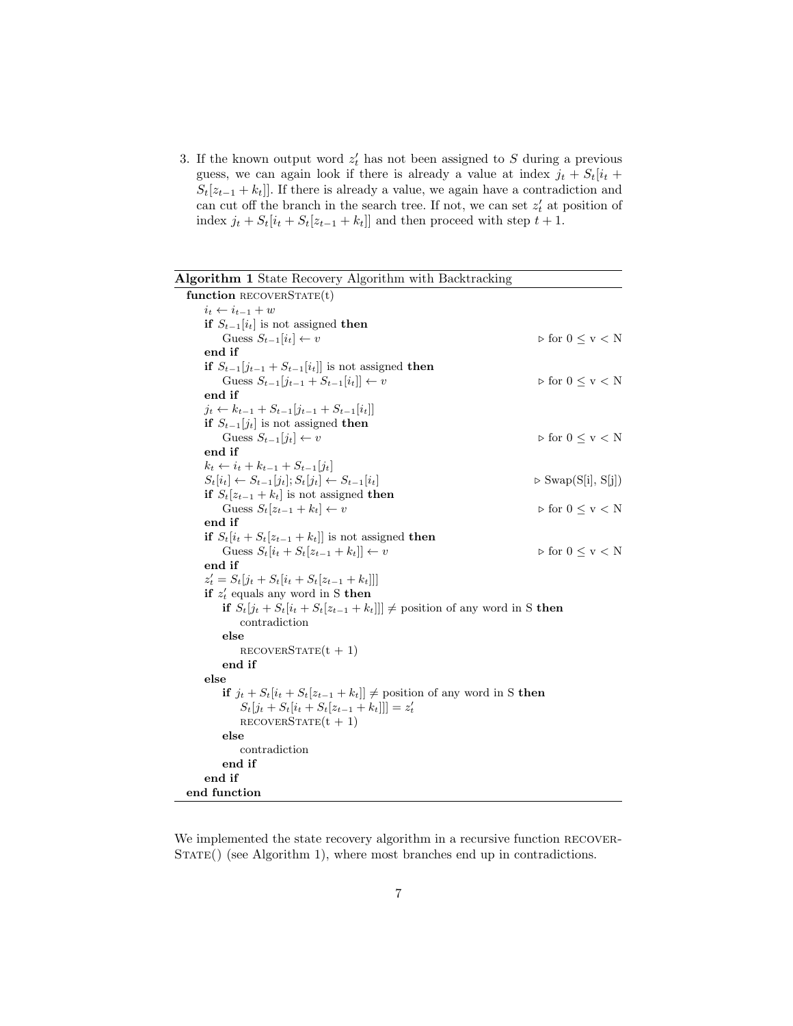3. If the known output word  $z'_{t}$  has not been assigned to S during a previous guess, we can again look if there is already a value at index  $j_t + S_t[i_t +$  $S_t[z_{t-1} + k_t]].$  If there is already a value, we again have a contradiction and can cut off the branch in the search tree. If not, we can set  $z'_{t}$  at position of index  $j_t + S_t[i_t + S_t[z_{t-1} + k_t]]$  and then proceed with step  $t + 1$ .

l,

| Algorithm 1 State Recovery Algorithm with Backtracking                            |                                                   |
|-----------------------------------------------------------------------------------|---------------------------------------------------|
| function RECOVERSTATE $(t)$                                                       |                                                   |
| $i_t \leftarrow i_{t-1} + w$                                                      |                                                   |
| if $S_{t-1}[i_t]$ is not assigned then                                            |                                                   |
| Guess $S_{t-1}[i_t] \leftarrow v$                                                 | $\triangleright$ for $0 \leq v < N$               |
| end if                                                                            |                                                   |
| if $S_{t-1}[j_{t-1} + S_{t-1}[i_t]]$ is not assigned then                         |                                                   |
| Guess $S_{t-1}[j_{t-1} + S_{t-1}[i_t]] \leftarrow v$                              | $\triangleright$ for $0\leq\mathtt{v}<\mathtt{N}$ |
| end if                                                                            |                                                   |
| $j_t \leftarrow k_{t-1} + S_{t-1}[j_{t-1} + S_{t-1}[i_t]]$                        |                                                   |
| if $S_{t-1}[j_t]$ is not assigned then                                            |                                                   |
| Guess $S_{t-1}[j_t] \leftarrow v$                                                 | $\triangleright$ for $0 \leq v < N$               |
| end if                                                                            |                                                   |
| $k_t \leftarrow i_t + k_{t-1} + S_{t-1}[j_t]$                                     |                                                   |
| $S_t[i_t] \leftarrow S_{t-1}[j_t]; S_t[j_t] \leftarrow S_{t-1}[i_t]$              | $\triangleright$ Swap(S[i], S[j])                 |
| if $S_t[z_{t-1} + k_t]$ is not assigned then                                      |                                                   |
| Guess $S_t[z_{t-1} + k_t] \leftarrow v$                                           | $\triangleright$ for $0 \leq v < N$               |
| end if                                                                            |                                                   |
| if $S_t[i_t + S_t[z_{t-1} + k_t]]$ is not assigned then                           |                                                   |
| Guess $S_t[i_t + S_t[z_{t-1} + k_t]] \leftarrow v$                                | $\triangleright$ for $0\leq\mathtt{v}<\mathtt{N}$ |
| end if                                                                            |                                                   |
| $z'_t = S_t[j_t + S_t[i_t + S_t[z_{t-1} + k_t]]]$                                 |                                                   |
| if $z'_t$ equals any word in S then                                               |                                                   |
| if $S_t[j_t + S_t[i_t + S_t[z_{t-1} + k_t]]] \neq$ position of any word in S then |                                                   |
| contradiction                                                                     |                                                   |
| else                                                                              |                                                   |
| $RECOVERSTATE(t + 1)$                                                             |                                                   |
| end if                                                                            |                                                   |
| else                                                                              |                                                   |
| if $j_t + S_t[i_t + S_t[z_{t-1} + k_t]] \neq$ position of any word in S then      |                                                   |
| $S_t[j_t + S_t[i_t + S_t[z_{t-1} + k_t]]] = z'_t$                                 |                                                   |
| $RECOVERSTATE(t + 1)$                                                             |                                                   |
| else                                                                              |                                                   |
| contradiction                                                                     |                                                   |
| end if                                                                            |                                                   |
| end if                                                                            |                                                   |
| end function                                                                      |                                                   |

We implemented the state recovery algorithm in a recursive function RECOVER-STATE() (see Algorithm 1), where most branches end up in contradictions.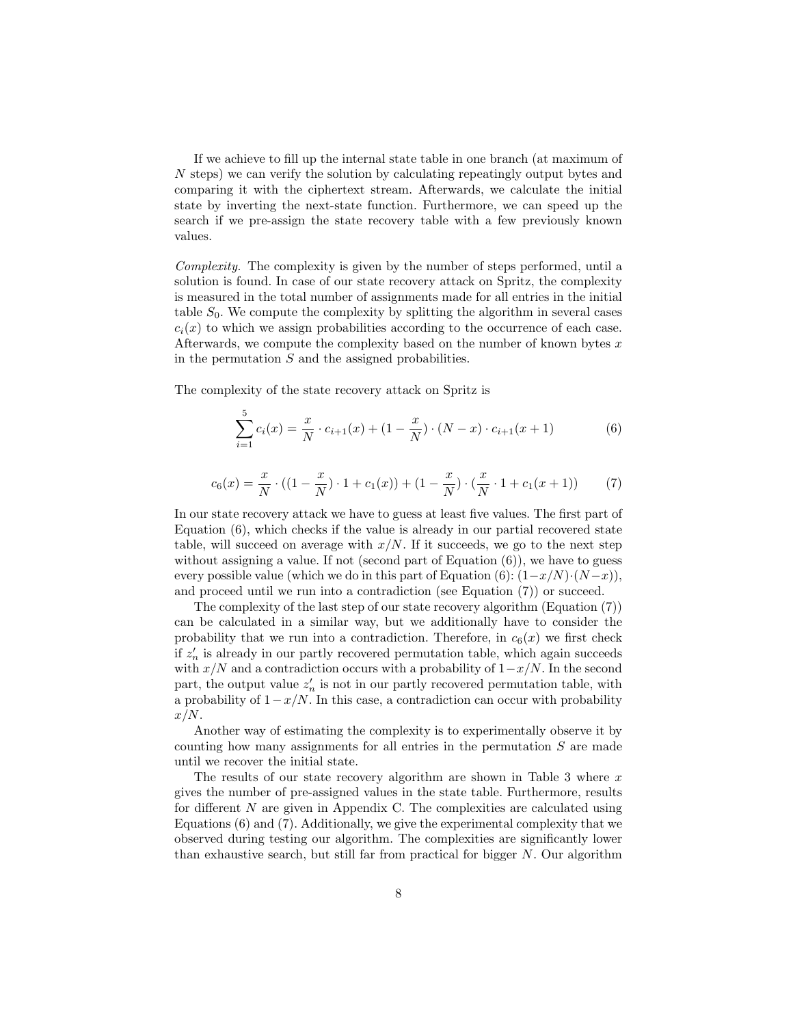If we achieve to fill up the internal state table in one branch (at maximum of N steps) we can verify the solution by calculating repeatingly output bytes and comparing it with the ciphertext stream. Afterwards, we calculate the initial state by inverting the next-state function. Furthermore, we can speed up the search if we pre-assign the state recovery table with a few previously known values.

Complexity. The complexity is given by the number of steps performed, until a solution is found. In case of our state recovery attack on Spritz, the complexity is measured in the total number of assignments made for all entries in the initial table  $S_0$ . We compute the complexity by splitting the algorithm in several cases  $c_i(x)$  to which we assign probabilities according to the occurrence of each case. Afterwards, we compute the complexity based on the number of known bytes  $x$ in the permutation  $S$  and the assigned probabilities.

The complexity of the state recovery attack on Spritz is

$$
\sum_{i=1}^{5} c_i(x) = \frac{x}{N} \cdot c_{i+1}(x) + (1 - \frac{x}{N}) \cdot (N - x) \cdot c_{i+1}(x+1)
$$
 (6)

$$
c_6(x) = \frac{x}{N} \cdot ((1 - \frac{x}{N}) \cdot 1 + c_1(x)) + (1 - \frac{x}{N}) \cdot (\frac{x}{N} \cdot 1 + c_1(x + 1)) \tag{7}
$$

In our state recovery attack we have to guess at least five values. The first part of Equation (6), which checks if the value is already in our partial recovered state table, will succeed on average with  $x/N$ . If it succeeds, we go to the next step without assigning a value. If not (second part of Equation  $(6)$ ), we have to guess every possible value (which we do in this part of Equation (6):  $(1-x/N) \cdot (N-x)$ ), and proceed until we run into a contradiction (see Equation (7)) or succeed.

The complexity of the last step of our state recovery algorithm (Equation (7)) can be calculated in a similar way, but we additionally have to consider the probability that we run into a contradiction. Therefore, in  $c_6(x)$  we first check if  $z_n'$  is already in our partly recovered permutation table, which again succeeds with  $x/N$  and a contradiction occurs with a probability of  $1-x/N$ . In the second part, the output value  $z'_n$  is not in our partly recovered permutation table, with a probability of  $1-x/N$ . In this case, a contradiction can occur with probability  $x/N$ .

Another way of estimating the complexity is to experimentally observe it by counting how many assignments for all entries in the permutation  $S$  are made until we recover the initial state.

The results of our state recovery algorithm are shown in Table 3 where  $x$ gives the number of pre-assigned values in the state table. Furthermore, results for different  $N$  are given in Appendix C. The complexities are calculated using Equations (6) and (7). Additionally, we give the experimental complexity that we observed during testing our algorithm. The complexities are significantly lower than exhaustive search, but still far from practical for bigger  $N$ . Our algorithm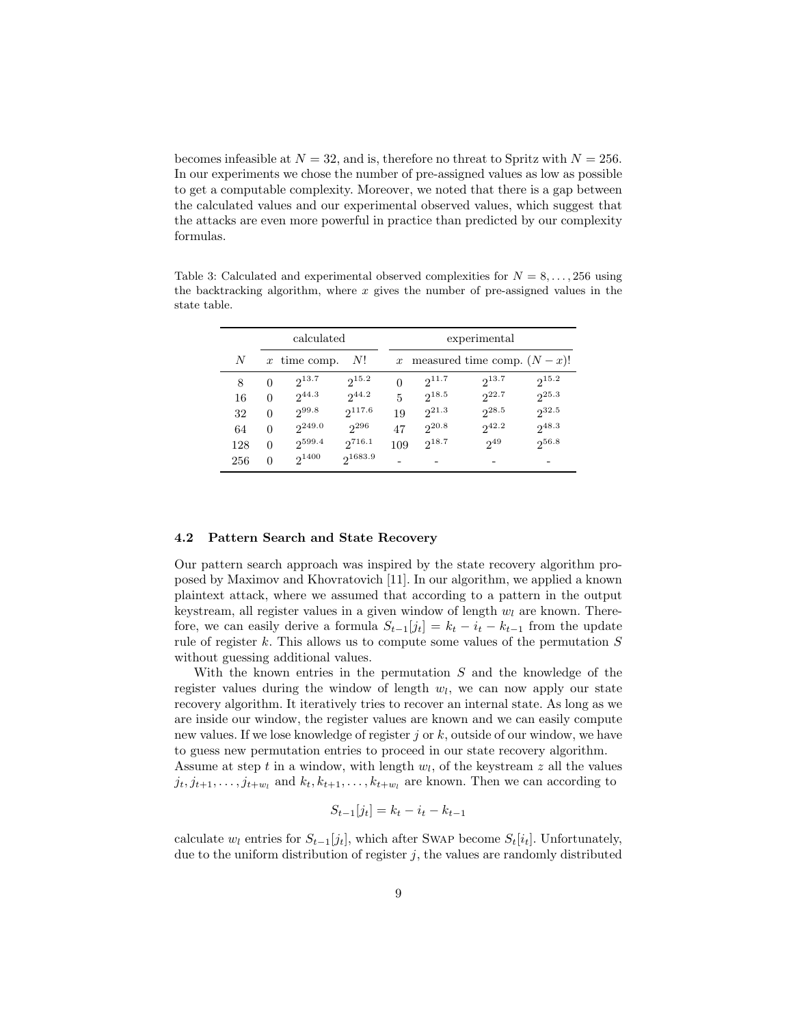becomes infeasible at  $N = 32$ , and is, therefore no threat to Spritz with  $N = 256$ . In our experiments we chose the number of pre-assigned values as low as possible to get a computable complexity. Moreover, we noted that there is a gap between the calculated values and our experimental observed values, which suggest that the attacks are even more powerful in practice than predicted by our complexity formulas.

| calculated |          |                | experimental |          |            |                                |            |
|------------|----------|----------------|--------------|----------|------------|--------------------------------|------------|
| N          |          | $x$ time comp. | - N!         |          |            | x measured time comp. $(N-x)!$ |            |
| 8          | $\Omega$ | $2^{13.7}$     | $2^{15.2}$   | $\theta$ | $2^{11.7}$ | $2^{13.7}$                     | $2^{15.2}$ |
| 16         | $\Omega$ | $2^{44.3}$     | $2^{44.2}$   | 5        | $2^{18.5}$ | $2^{22.7}$                     | $2^{25.3}$ |
| 32         | $\theta$ | 299.8          | $2^{117.6}$  | 19       | $2^{21.3}$ | $2^{28.5}$                     | $2^{32.5}$ |
| 64         | $\theta$ | $2^{249.0}$    | $2^{296}$    | 47       | $2^{20.8}$ | $2^{42.2}$                     | $2^{48.3}$ |
| 128        | $\Omega$ | $2^{599.4}$    | $2^{716.1}$  | 109      | $2^{18.7}$ | $2^{49}$                       | $2^{56.8}$ |
| 256        | $\Omega$ | $2^{1400}$     | 21683.9      |          |            |                                |            |

Table 3: Calculated and experimental observed complexities for  $N = 8, \ldots, 256$  using the backtracking algorithm, where  $x$  gives the number of pre-assigned values in the state table.

#### 4.2 Pattern Search and State Recovery

Our pattern search approach was inspired by the state recovery algorithm proposed by Maximov and Khovratovich [11]. In our algorithm, we applied a known plaintext attack, where we assumed that according to a pattern in the output keystream, all register values in a given window of length  $w_l$  are known. Therefore, we can easily derive a formula  $S_{t-1}[j_t] = k_t - i_t - k_{t-1}$  from the update rule of register  $k$ . This allows us to compute some values of the permutation  $S$ without guessing additional values.

With the known entries in the permutation S and the knowledge of the register values during the window of length  $w_l$ , we can now apply our state recovery algorithm. It iteratively tries to recover an internal state. As long as we are inside our window, the register values are known and we can easily compute new values. If we lose knowledge of register j or k, outside of our window, we have to guess new permutation entries to proceed in our state recovery algorithm.

Assume at step  $t$  in a window, with length  $w_l$ , of the keystream  $z$  all the values  $j_t, j_{t+1}, \ldots, j_{t+w_l}$  and  $k_t, k_{t+1}, \ldots, k_{t+w_l}$  are known. Then we can according to

$$
S_{t-1}[j_t] = k_t - i_t - k_{t-1}
$$

calculate  $w_l$  entries for  $S_{t-1}[j_t]$ , which after SWAP become  $S_t[i_t]$ . Unfortunately, due to the uniform distribution of register  $j$ , the values are randomly distributed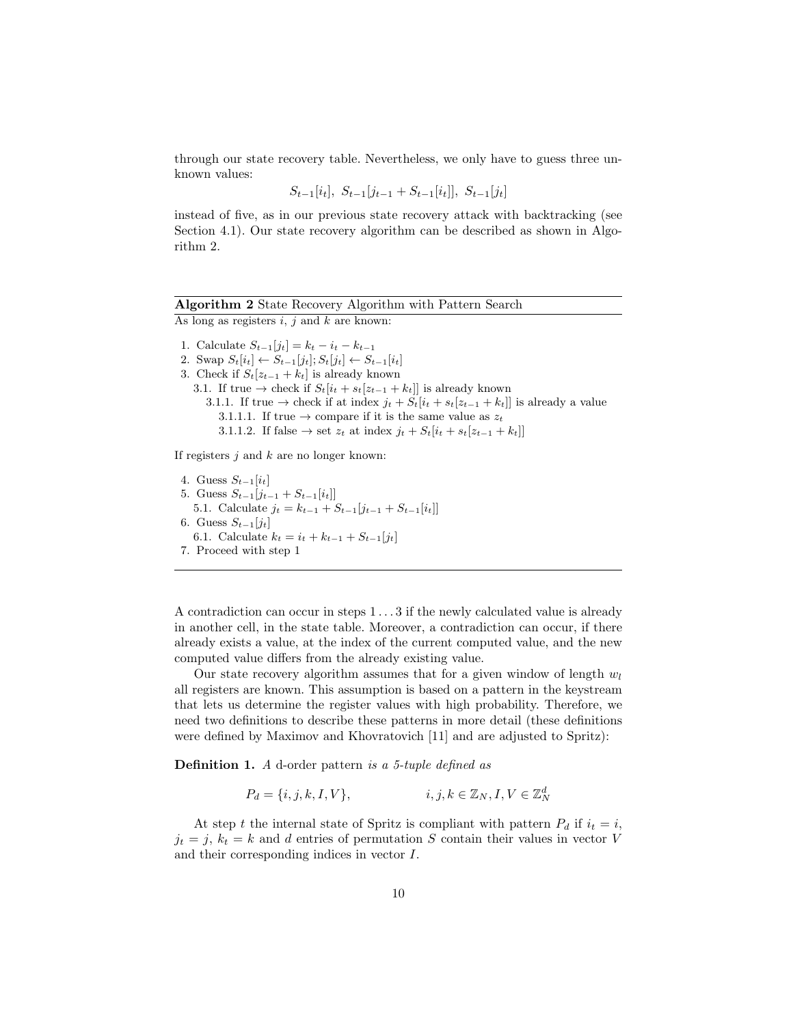through our state recovery table. Nevertheless, we only have to guess three unknown values:

 $S_{t-1}[i_t], S_{t-1}[j_{t-1} + S_{t-1}[i_t]], S_{t-1}[j_t]$ 

instead of five, as in our previous state recovery attack with backtracking (see Section 4.1). Our state recovery algorithm can be described as shown in Algorithm 2.

### Algorithm 2 State Recovery Algorithm with Pattern Search

As long as registers  $i, j$  and  $k$  are known:

1. Calculate  $S_{t-1}[j_t] = k_t - i_t - k_{t-1}$ 2. Swap  $S_t[i_t] \leftarrow S_{t-1}[j_t]; S_t[j_t] \leftarrow S_{t-1}[i_t]$ 3. Check if  $S_t[z_{t-1} + k_t]$  is already known 3.1. If true  $\rightarrow$  check if  $S_t[i_t + s_t[z_{t-1} + k_t]]$  is already known 3.1.1. If true  $\rightarrow$  check if at index  $j_t + S_t[i_t + s_t[z_{t-1} + k_t]]$  is already a value 3.1.1.1. If true  $\rightarrow$  compare if it is the same value as  $z_t$ 3.1.1.2. If false  $\rightarrow$  set  $z_t$  at index  $j_t + S_t[i_t + s_t[z_{t-1} + k_t]]$ 

If registers  $j$  and  $k$  are no longer known:

4. Guess  $S_{t-1}[i_t]$ 5. Guess  $S_{t-1}[j_{t-1} + S_{t-1}[i_t]]$ 5.1. Calculate  $j_t = k_{t-1} + S_{t-1}[j_{t-1} + S_{t-1}[i_t]]$ 6. Guess  $S_{t-1}[j_t]$ 6.1. Calculate  $k_t = i_t + k_{t-1} + S_{t-1}[j_t]$ 7. Proceed with step 1

A contradiction can occur in steps 1 . . . 3 if the newly calculated value is already in another cell, in the state table. Moreover, a contradiction can occur, if there already exists a value, at the index of the current computed value, and the new computed value differs from the already existing value.

Our state recovery algorithm assumes that for a given window of length  $w_l$ all registers are known. This assumption is based on a pattern in the keystream that lets us determine the register values with high probability. Therefore, we need two definitions to describe these patterns in more detail (these definitions were defined by Maximov and Khovratovich [11] and are adjusted to Spritz):

**Definition 1.** A d-order pattern is a 5-tuple defined as

$$
P_d = \{i, j, k, I, V\}, \qquad i, j, k \in \mathbb{Z}_N, I, V \in \mathbb{Z}_N^d
$$

At step t the internal state of Spritz is compliant with pattern  $P_d$  if  $i_t = i$ ,  $j_t = j, k_t = k$  and d entries of permutation S contain their values in vector V and their corresponding indices in vector I.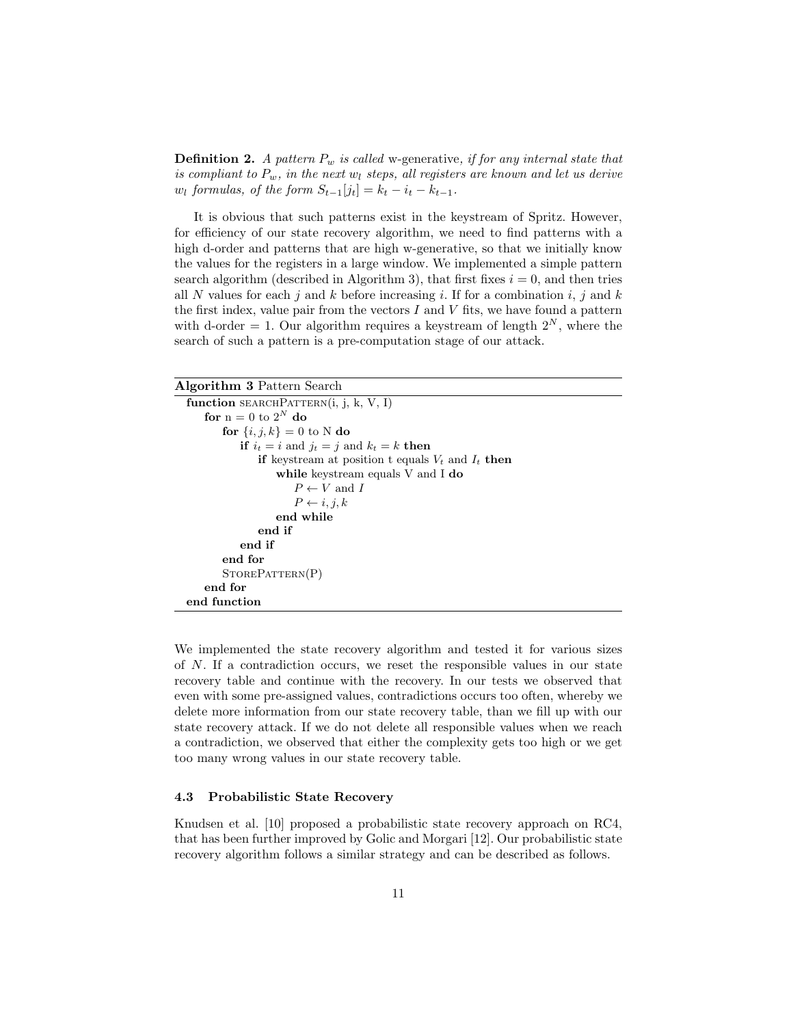**Definition 2.** A pattern  $P_w$  is called w-generative, if for any internal state that is compliant to  $P_w$ , in the next  $w_l$  steps, all registers are known and let us derive  $w_l$  formulas, of the form  $S_{t-1}[j_t] = k_t - i_t - k_{t-1}$ .

It is obvious that such patterns exist in the keystream of Spritz. However, for efficiency of our state recovery algorithm, we need to find patterns with a high d-order and patterns that are high w-generative, so that we initially know the values for the registers in a large window. We implemented a simple pattern search algorithm (described in Algorithm 3), that first fixes  $i = 0$ , and then tries all N values for each j and k before increasing i. If for a combination i, j and k the first index, value pair from the vectors  $I$  and  $V$  fits, we have found a pattern with d-order  $= 1$ . Our algorithm requires a keystream of length  $2^N$ , where the search of such a pattern is a pre-computation stage of our attack.

| <b>Algorithm 3 Pattern Search</b>                      |
|--------------------------------------------------------|
| function SEARCHPATTERN(i, j, k, V, I)                  |
| for $n = 0$ to $2^N$ do                                |
| for $\{i, j, k\} = 0$ to N do                          |
| if $i_t = i$ and $j_t = j$ and $k_t = k$ then          |
| if keystream at position t equals $V_t$ and $I_t$ then |
| while keystream equals V and I do                      |
| $P \leftarrow V$ and I                                 |
| $P \leftarrow i, j, k$                                 |
| end while                                              |
| end if                                                 |
| end if                                                 |
| end for                                                |
| STOPBATTERN(P)                                         |
| end for                                                |
| end function                                           |

We implemented the state recovery algorithm and tested it for various sizes of N. If a contradiction occurs, we reset the responsible values in our state recovery table and continue with the recovery. In our tests we observed that even with some pre-assigned values, contradictions occurs too often, whereby we delete more information from our state recovery table, than we fill up with our state recovery attack. If we do not delete all responsible values when we reach a contradiction, we observed that either the complexity gets too high or we get too many wrong values in our state recovery table.

#### 4.3 Probabilistic State Recovery

Knudsen et al. [10] proposed a probabilistic state recovery approach on RC4, that has been further improved by Golic and Morgari [12]. Our probabilistic state recovery algorithm follows a similar strategy and can be described as follows.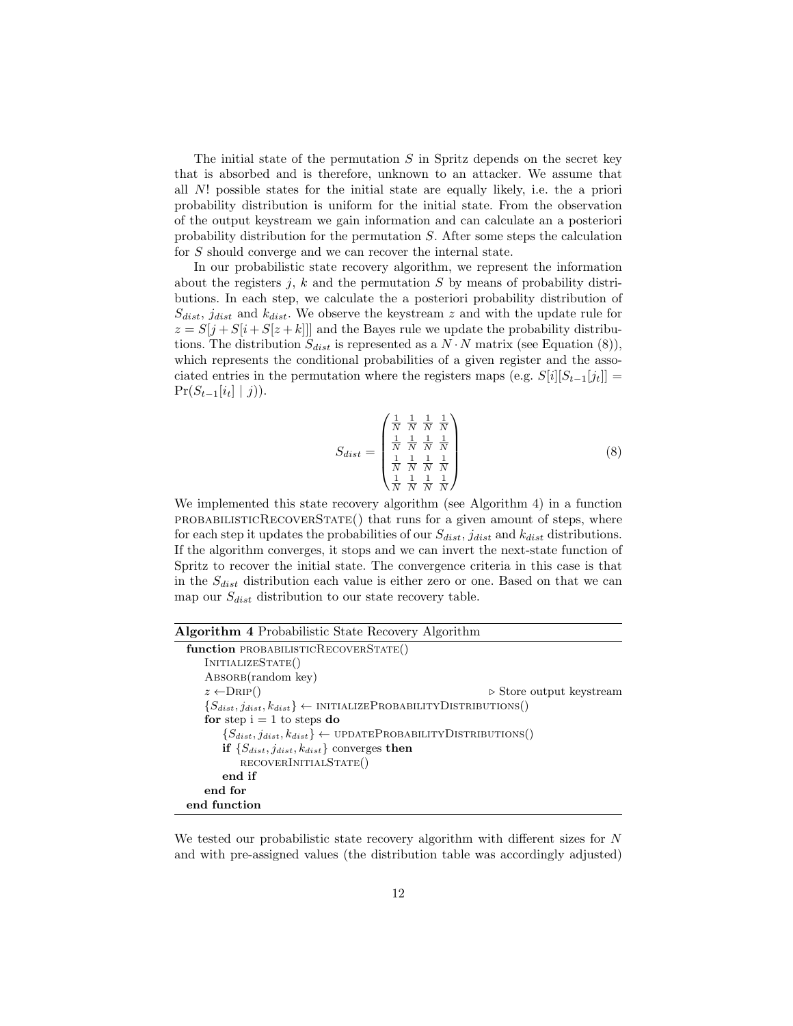The initial state of the permutation  $S$  in Spritz depends on the secret key that is absorbed and is therefore, unknown to an attacker. We assume that all N! possible states for the initial state are equally likely, i.e. the a priori probability distribution is uniform for the initial state. From the observation of the output keystream we gain information and can calculate an a posteriori probability distribution for the permutation S. After some steps the calculation for S should converge and we can recover the internal state.

In our probabilistic state recovery algorithm, we represent the information about the registers j, k and the permutation  $S$  by means of probability distributions. In each step, we calculate the a posteriori probability distribution of  $S_{dist}$ ,  $j_{dist}$  and  $k_{dist}$ . We observe the keystream z and with the update rule for  $z = S[j + S[i + S[z + k]]$  and the Bayes rule we update the probability distributions. The distribution  $S_{dist}$  is represented as a  $N \cdot N$  matrix (see Equation (8)), which represents the conditional probabilities of a given register and the associated entries in the permutation where the registers maps (e.g.  $S[i][S_{t-1}[j_t]] =$  $Pr(S_{t-1}[i_t] | j)).$ 

$$
S_{dist} = \begin{pmatrix} \frac{1}{N} & \frac{1}{N} & \frac{1}{N} & \frac{1}{N} \\ \frac{1}{N} & \frac{1}{N} & \frac{1}{N} & \frac{1}{N} \\ \frac{1}{N} & \frac{1}{N} & \frac{1}{N} & \frac{1}{N} \\ \frac{1}{N} & \frac{1}{N} & \frac{1}{N} & \frac{1}{N} \end{pmatrix}
$$
(8)

We implemented this state recovery algorithm (see Algorithm 4) in a function probabilisticRecoverState() that runs for a given amount of steps, where for each step it updates the probabilities of our  $S_{dist}$ ,  $j_{dist}$  and  $k_{dist}$  distributions. If the algorithm converges, it stops and we can invert the next-state function of Spritz to recover the initial state. The convergence criteria in this case is that in the  $S_{dist}$  distribution each value is either zero or one. Based on that we can map our  $S_{dist}$  distribution to our state recovery table.

| <b>Algorithm 4</b> Probabilistic State Recovery Algorithm                                 |  |
|-------------------------------------------------------------------------------------------|--|
| function PROBABILISTICRECOVERSTATE()                                                      |  |
| INITIALIZESTATE()                                                                         |  |
| $\text{ABSORB}(\text{random key})$                                                        |  |
| $z \leftarrow \text{DRIP}()$<br>$\triangleright$ Store output keystream                   |  |
| $\{S_{dist}, j_{dist}, k_{dist}\} \leftarrow \text{INITIALIZEPROBABILITYDISTRIBUTIONS}()$ |  |
| for step $i = 1$ to steps do                                                              |  |
| $\{S_{dist}, j_{dist}, k_{dist}\} \leftarrow \text{UPDATEPROBABILITYDISTRIBUTIONS}()$     |  |
| if $\{S_{dist}, j_{dist}, k_{dist}\}\$ converges then                                     |  |
| RECOVERINITIALSTATE()                                                                     |  |
| end if                                                                                    |  |
| end for                                                                                   |  |
| end function                                                                              |  |

We tested our probabilistic state recovery algorithm with different sizes for  $N$ and with pre-assigned values (the distribution table was accordingly adjusted)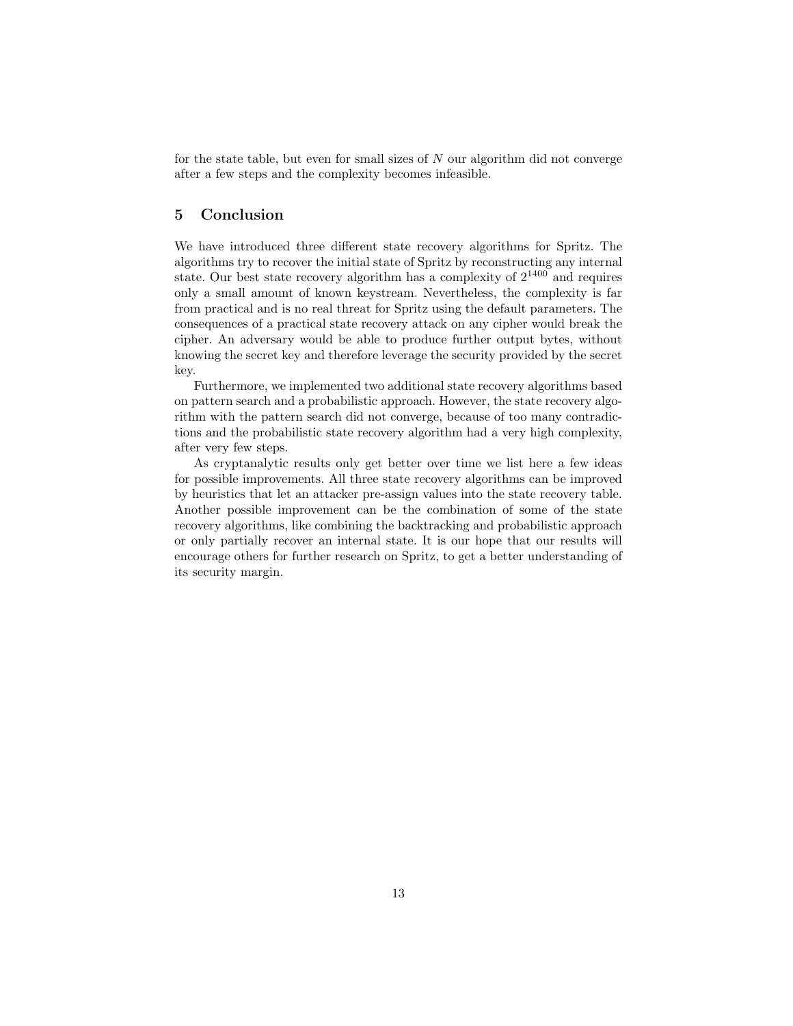for the state table, but even for small sizes of  $N$  our algorithm did not converge after a few steps and the complexity becomes infeasible.

### 5 Conclusion

We have introduced three different state recovery algorithms for Spritz. The algorithms try to recover the initial state of Spritz by reconstructing any internal state. Our best state recovery algorithm has a complexity of  $2^{1400}$  and requires only a small amount of known keystream. Nevertheless, the complexity is far from practical and is no real threat for Spritz using the default parameters. The consequences of a practical state recovery attack on any cipher would break the cipher. An adversary would be able to produce further output bytes, without knowing the secret key and therefore leverage the security provided by the secret key.

Furthermore, we implemented two additional state recovery algorithms based on pattern search and a probabilistic approach. However, the state recovery algorithm with the pattern search did not converge, because of too many contradictions and the probabilistic state recovery algorithm had a very high complexity, after very few steps.

As cryptanalytic results only get better over time we list here a few ideas for possible improvements. All three state recovery algorithms can be improved by heuristics that let an attacker pre-assign values into the state recovery table. Another possible improvement can be the combination of some of the state recovery algorithms, like combining the backtracking and probabilistic approach or only partially recover an internal state. It is our hope that our results will encourage others for further research on Spritz, to get a better understanding of its security margin.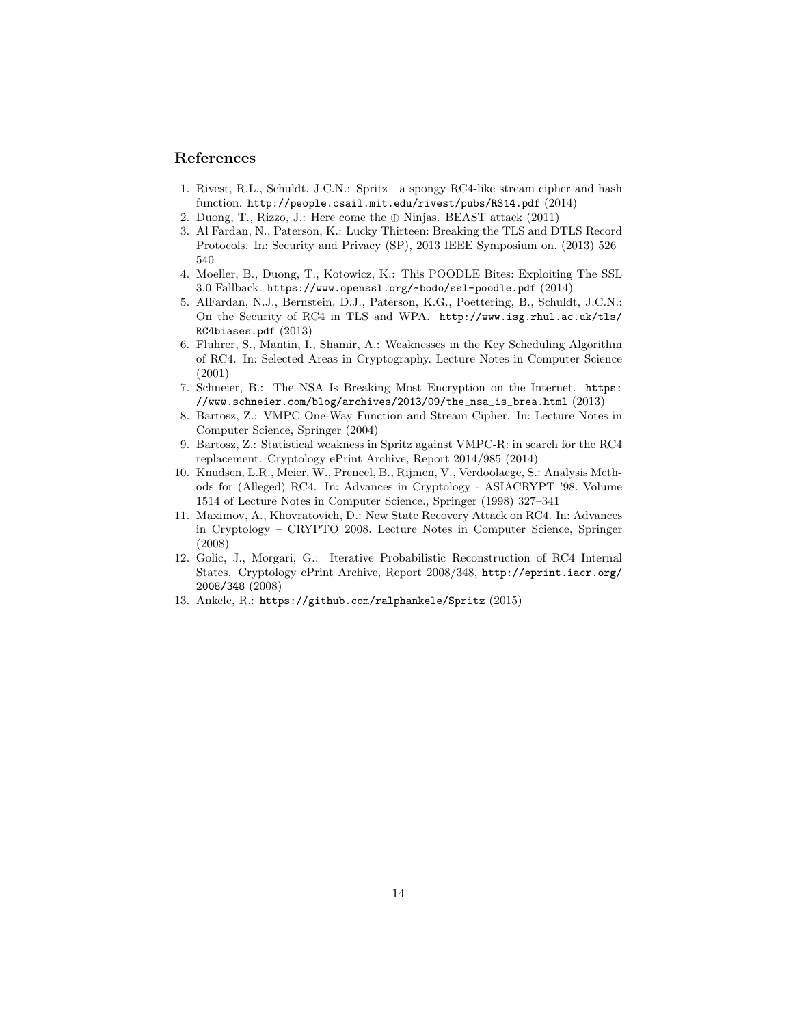### References

- 1. Rivest, R.L., Schuldt, J.C.N.: Spritz—a spongy RC4-like stream cipher and hash function. http://people.csail.mit.edu/rivest/pubs/RS14.pdf (2014)
- 2. Duong, T., Rizzo, J.: Here come the  $\oplus$  Ninjas. BEAST attack (2011)
- 3. Al Fardan, N., Paterson, K.: Lucky Thirteen: Breaking the TLS and DTLS Record Protocols. In: Security and Privacy (SP), 2013 IEEE Symposium on. (2013) 526– 540
- 4. Moeller, B., Duong, T., Kotowicz, K.: This POODLE Bites: Exploiting The SSL 3.0 Fallback. https://www.openssl.org/~bodo/ssl-poodle.pdf (2014)
- 5. AlFardan, N.J., Bernstein, D.J., Paterson, K.G., Poettering, B., Schuldt, J.C.N.: On the Security of RC4 in TLS and WPA. http://www.isg.rhul.ac.uk/tls/ RC4biases.pdf (2013)
- 6. Fluhrer, S., Mantin, I., Shamir, A.: Weaknesses in the Key Scheduling Algorithm of RC4. In: Selected Areas in Cryptography. Lecture Notes in Computer Science (2001)
- 7. Schneier, B.: The NSA Is Breaking Most Encryption on the Internet. https: //www.schneier.com/blog/archives/2013/09/the\_nsa\_is\_brea.html (2013)
- 8. Bartosz, Z.: VMPC One-Way Function and Stream Cipher. In: Lecture Notes in Computer Science, Springer (2004)
- 9. Bartosz, Z.: Statistical weakness in Spritz against VMPC-R: in search for the RC4 replacement. Cryptology ePrint Archive, Report 2014/985 (2014)
- 10. Knudsen, L.R., Meier, W., Preneel, B., Rijmen, V., Verdoolaege, S.: Analysis Methods for (Alleged) RC4. In: Advances in Cryptology - ASIACRYPT '98. Volume 1514 of Lecture Notes in Computer Science., Springer (1998) 327–341
- 11. Maximov, A., Khovratovich, D.: New State Recovery Attack on RC4. In: Advances in Cryptology – CRYPTO 2008. Lecture Notes in Computer Science, Springer (2008)
- 12. Golic, J., Morgari, G.: Iterative Probabilistic Reconstruction of RC4 Internal States. Cryptology ePrint Archive, Report 2008/348, http://eprint.iacr.org/ 2008/348 (2008)
- 13. Ankele, R.: https://github.com/ralphankele/Spritz (2015)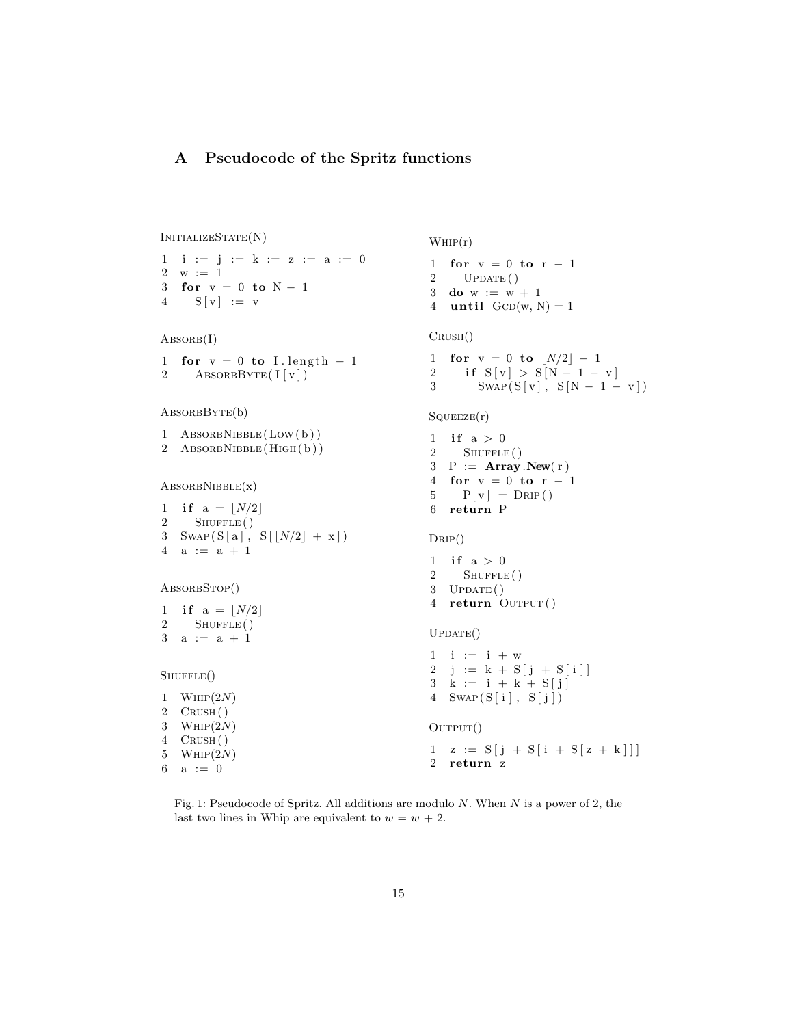# A Pseudocode of the Spritz functions

```
InitializeState(N)
1 i := j := k := z := a := 0
2 w := 13 for v = 0 to N - 14 \quad S[v] := vABSORB(I)1 for v = 0 to I length -12 ABSORBBYTE(I[v])AbsorbByte(b)
1 ABSORBNIBBLE(LOW(b))
2 AbsorbNibble(High( b ) )
\text{ABSORBNIBBLE}(x)1 if a = \lfloor N/2 \rfloor2 SHUFFLE ()
3 SWAP(S[a], S[[N/2]+x])4 a := a + 1ABSORBSTOP()
1 if a = |N/2|2 SHUFFLE()
3 \quad a \ := \ a \ + \ 1SHUFFLE()1 WHP(2N)2 CRUSH()
3 WHIP(2N)4 Crush( )
5 WHIP(2N)6 a := 0WHIP(r)1 for v = 0 to r - 12 UPDATE()
                                         3 do w := w + 14 until GCD(w, N) = 1Crush()
                                         1 for v = 0 to |N/2| - 12 if S[v] > S[N-1-v]3 SWAP(S[v], S[N - 1 - v])
                                         SQUEEZE(r)1 if a > 02 SHUFFLE ()
                                         3 P := Array.New(r)4 for v = 0 to r - 15 \qquad P[v] = D\text{RIP}()6 return P
                                         D_{\rm RIP}()1 if a > 02 SHUFFLE()
                                         3 UPDATE()
                                         4 return OUTPUT()
                                         UPDATE()1 \quad i \quad := \quad i \; + \; w2 j := k + S [ j + S [ i ] ]
                                         3 \quad k := i + k + S[j]4 SWAP(S[i], S[j])
                                         \text{OUTPUT}()1 \quad z := S[j + S[i + S[z + k]]]2 return z
```
Fig. 1: Pseudocode of Spritz. All additions are modulo  $N$ . When  $N$  is a power of 2, the last two lines in Whip are equivalent to  $w = w + 2$ .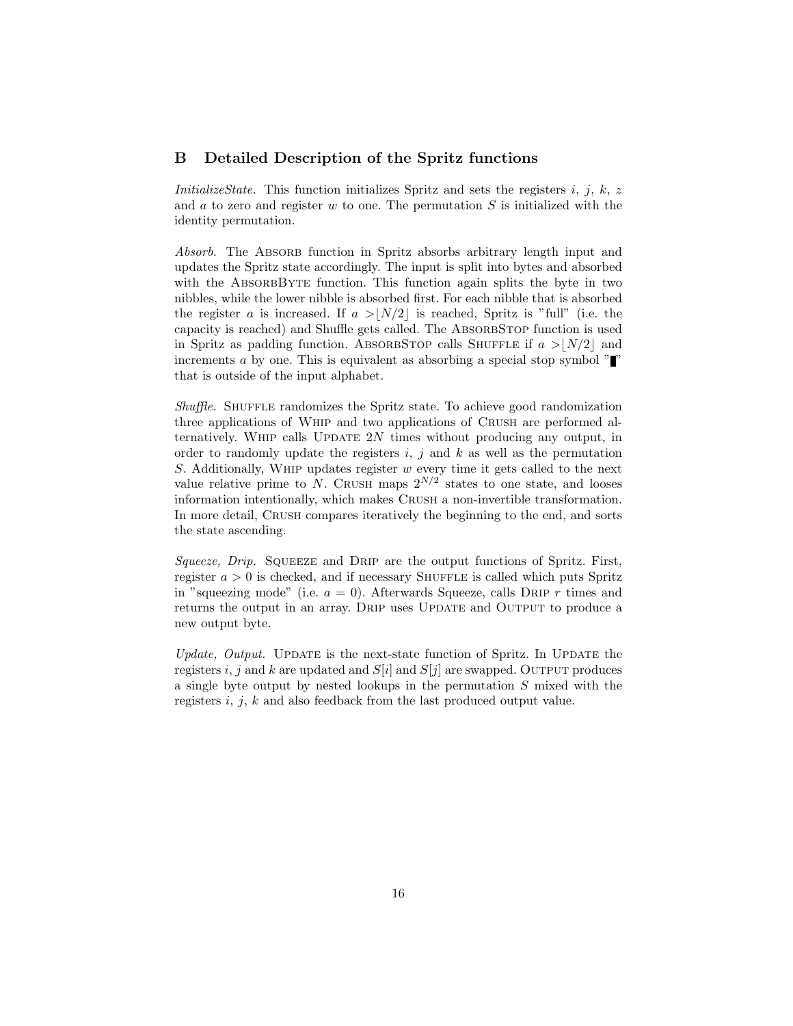### B Detailed Description of the Spritz functions

InitializeState. This function initializes Spritz and sets the registers  $i, j, k, z$ and  $a$  to zero and register  $w$  to one. The permutation  $S$  is initialized with the identity permutation.

Absorb. The Absorb function in Spritz absorbs arbitrary length input and updates the Spritz state accordingly. The input is split into bytes and absorbed with the ABSORBBYTE function. This function again splits the byte in two nibbles, while the lower nibble is absorbed first. For each nibble that is absorbed the register a is increased. If  $a > |N/2|$  is reached, Spritz is "full" (i.e. the capacity is reached) and Shuffle gets called. The ABSORBSTOP function is used in Spritz as padding function. ABSORBSTOP calls SHUFFLE if  $a > |N/2|$  and increments a by one. This is equivalent as absorbing a special stop symbol  $\mathbb{Z}^n$ that is outside of the input alphabet.

Shuffle. SHUFFLE randomizes the Spritz state. To achieve good randomization three applications of Whip and two applications of Crush are performed alternatively. WHIP calls UPDATE  $2N$  times without producing any output, in order to randomly update the registers  $i, j$  and  $k$  as well as the permutation S. Additionally, WHIP updates register  $w$  every time it gets called to the next value relative prime to N. CRUSH maps  $2^{N/2}$  states to one state, and looses information intentionally, which makes Crush a non-invertible transformation. In more detail, CRUSH compares iteratively the beginning to the end, and sorts the state ascending.

Squeeze, Drip. SQUEEZE and DRIP are the output functions of Spritz. First, register  $a > 0$  is checked, and if necessary SHUFFLE is called which puts Spritz in "squeezing mode" (i.e.  $a = 0$ ). Afterwards Squeeze, calls DRIP r times and returns the output in an array. DRIP uses UPDATE and OUTPUT to produce a new output byte.

Update, Output. UPDATE is the next-state function of Spritz. In UPDATE the registers i, j and k are updated and  $S[i]$  and  $S[j]$  are swapped. OUTPUT produces a single byte output by nested lookups in the permutation S mixed with the registers i, j, k and also feedback from the last produced output value.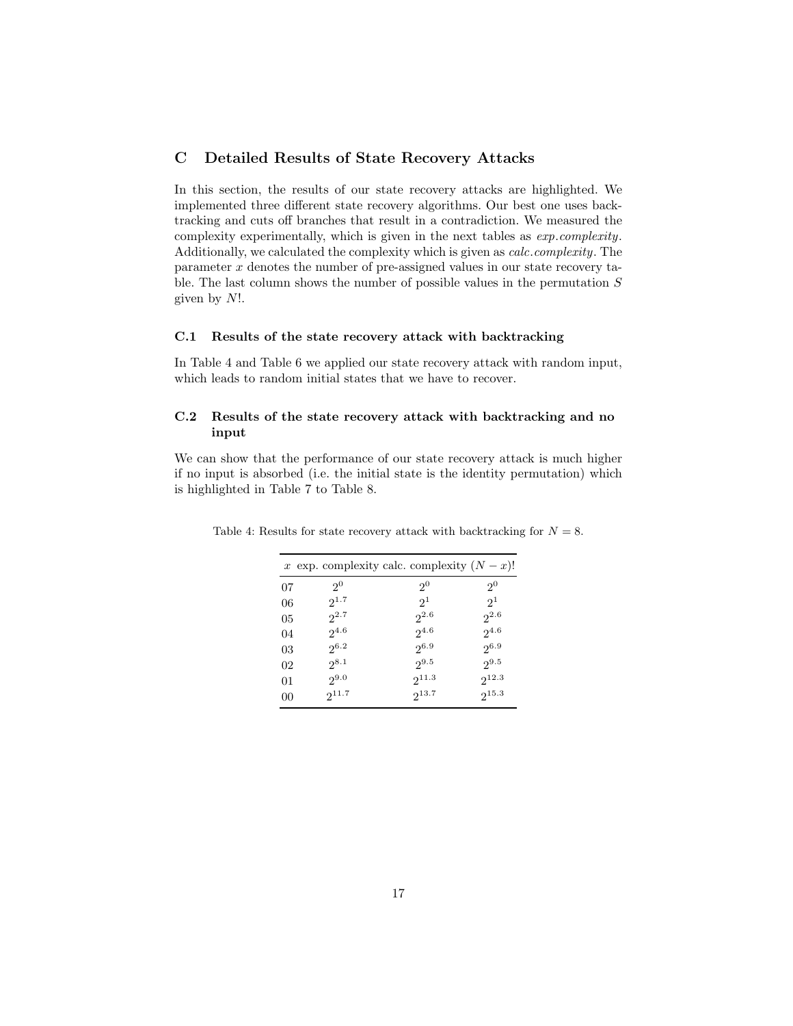## C Detailed Results of State Recovery Attacks

In this section, the results of our state recovery attacks are highlighted. We implemented three different state recovery algorithms. Our best one uses backtracking and cuts off branches that result in a contradiction. We measured the complexity experimentally, which is given in the next tables as exp.complexity. Additionally, we calculated the complexity which is given as calc.complexity. The parameter x denotes the number of pre-assigned values in our state recovery table. The last column shows the number of possible values in the permutation  $S$ given by N!.

### C.1 Results of the state recovery attack with backtracking

In Table 4 and Table 6 we applied our state recovery attack with random input, which leads to random initial states that we have to recover.

#### C.2 Results of the state recovery attack with backtracking and no input

We can show that the performance of our state recovery attack is much higher if no input is absorbed (i.e. the initial state is the identity permutation) which is highlighted in Table 7 to Table 8.

|    | x exp. complexity calc. complexity $(N-x)!$ |                |                |
|----|---------------------------------------------|----------------|----------------|
| 07 | 2 <sup>0</sup>                              | 2 <sup>0</sup> | 2 <sup>0</sup> |
| 06 | $2^{1.7}$                                   | 2 <sup>1</sup> | $2^1$          |
| 05 | $2^{2.7}$                                   | $2^{2.6}$      | $2^{2.6}$      |
| 04 | $2^{4.6}$                                   | $2^{4.6}$      | $2^{4.6}$      |
| 03 | $2^{6.2}$                                   | $2^{6.9}$      | $2^{6.9}$      |
| 02 | $2^{8.1}$                                   | $2^{9.5}$      | $2^{9.5}$      |
| 01 | $2^{9.0}$                                   | $2^{11.3}$     | $2^{12.3}$     |
| 00 | $2^{11.7}$                                  | $2^{13.7}$     | $2^{15.3}$     |
|    |                                             |                |                |

Table 4: Results for state recovery attack with backtracking for  $N = 8$ .